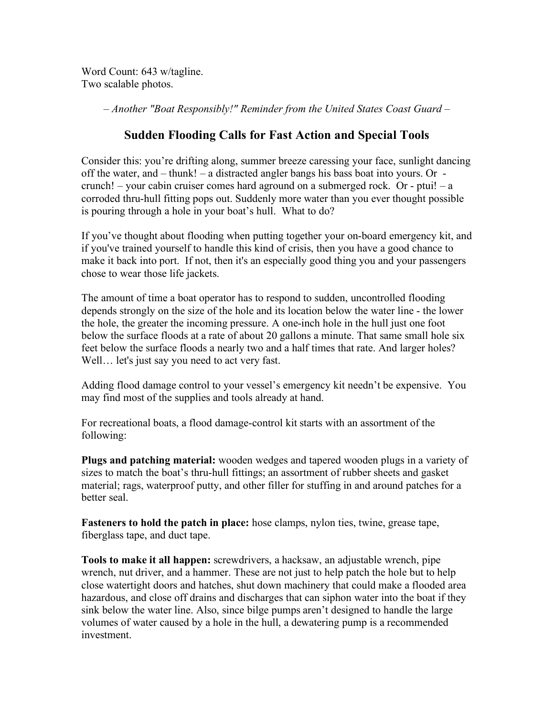Word Count: 643 w/tagline. Two scalable photos.

*– Another "Boat Responsibly!" Reminder from the United States Coast Guard –*

## **Sudden Flooding Calls for Fast Action and Special Tools**

Consider this: you're drifting along, summer breeze caressing your face, sunlight dancing off the water, and – thunk! – a distracted angler bangs his bass boat into yours. Or crunch! – your cabin cruiser comes hard aground on a submerged rock. Or - ptui! – a corroded thru-hull fitting pops out. Suddenly more water than you ever thought possible is pouring through a hole in your boat's hull. What to do?

If you've thought about flooding when putting together your on-board emergency kit, and if you've trained yourself to handle this kind of crisis, then you have a good chance to make it back into port. If not, then it's an especially good thing you and your passengers chose to wear those life jackets.

The amount of time a boat operator has to respond to sudden, uncontrolled flooding depends strongly on the size of the hole and its location below the water line - the lower the hole, the greater the incoming pressure. A one-inch hole in the hull just one foot below the surface floods at a rate of about 20 gallons a minute. That same small hole six feet below the surface floods a nearly two and a half times that rate. And larger holes? Well… let's just say you need to act very fast.

Adding flood damage control to your vessel's emergency kit needn't be expensive. You may find most of the supplies and tools already at hand.

For recreational boats, a flood damage-control kit starts with an assortment of the following:

**Plugs and patching material:** wooden wedges and tapered wooden plugs in a variety of sizes to match the boat's thru-hull fittings; an assortment of rubber sheets and gasket material; rags, waterproof putty, and other filler for stuffing in and around patches for a better seal.

**Fasteners to hold the patch in place:** hose clamps, nylon ties, twine, grease tape, fiberglass tape, and duct tape.

**Tools to make it all happen:** screwdrivers, a hacksaw, an adjustable wrench, pipe wrench, nut driver, and a hammer. These are not just to help patch the hole but to help close watertight doors and hatches, shut down machinery that could make a flooded area hazardous, and close off drains and discharges that can siphon water into the boat if they sink below the water line. Also, since bilge pumps aren't designed to handle the large volumes of water caused by a hole in the hull, a dewatering pump is a recommended investment.